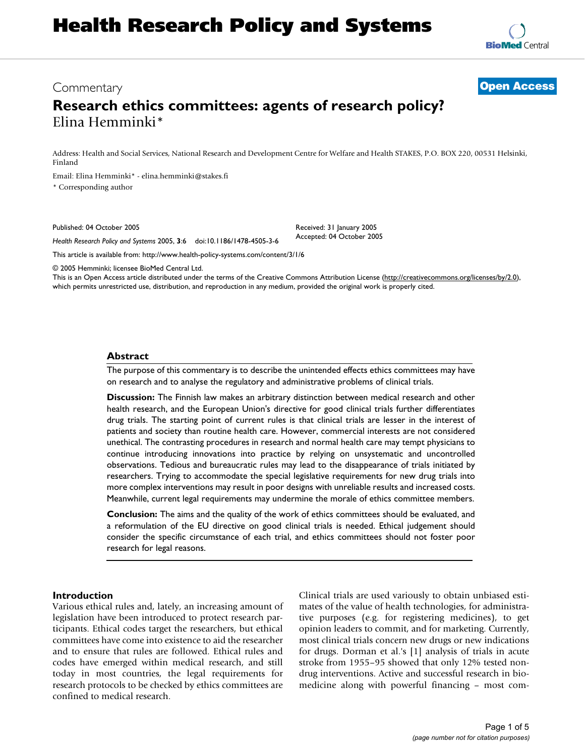

# Commentary **[Open Access](http://www.biomedcentral.com/info/about/charter/)**

# **Research ethics committees: agents of research policy?** Elina Hemminki\*

Address: Health and Social Services, National Research and Development Centre for Welfare and Health STAKES, P.O. BOX 220, 00531 Helsinki, Finland

> Received: 31 January 2005 Accepted: 04 October 2005

Email: Elina Hemminki\* - elina.hemminki@stakes.fi

\* Corresponding author

Published: 04 October 2005

*Health Research Policy and Systems* 2005, **3**:6 doi:10.1186/1478-4505-3-6

[This article is available from: http://www.health-policy-systems.com/content/3/1/6](http://www.health-policy-systems.com/content/3/1/6)

© 2005 Hemminki; licensee BioMed Central Ltd.

This is an Open Access article distributed under the terms of the Creative Commons Attribution License [\(http://creativecommons.org/licenses/by/2.0\)](http://creativecommons.org/licenses/by/2.0), which permits unrestricted use, distribution, and reproduction in any medium, provided the original work is properly cited.

# **Abstract**

The purpose of this commentary is to describe the unintended effects ethics committees may have on research and to analyse the regulatory and administrative problems of clinical trials.

**Discussion:** The Finnish law makes an arbitrary distinction between medical research and other health research, and the European Union's directive for good clinical trials further differentiates drug trials. The starting point of current rules is that clinical trials are lesser in the interest of patients and society than routine health care. However, commercial interests are not considered unethical. The contrasting procedures in research and normal health care may tempt physicians to continue introducing innovations into practice by relying on unsystematic and uncontrolled observations. Tedious and bureaucratic rules may lead to the disappearance of trials initiated by researchers. Trying to accommodate the special legislative requirements for new drug trials into more complex interventions may result in poor designs with unreliable results and increased costs. Meanwhile, current legal requirements may undermine the morale of ethics committee members.

**Conclusion:** The aims and the quality of the work of ethics committees should be evaluated, and a reformulation of the EU directive on good clinical trials is needed. Ethical judgement should consider the specific circumstance of each trial, and ethics committees should not foster poor research for legal reasons.

# **Introduction**

Various ethical rules and, lately, an increasing amount of legislation have been introduced to protect research participants. Ethical codes target the researchers, but ethical committees have come into existence to aid the researcher and to ensure that rules are followed. Ethical rules and codes have emerged within medical research, and still today in most countries, the legal requirements for research protocols to be checked by ethics committees are confined to medical research.

Clinical trials are used variously to obtain unbiased estimates of the value of health technologies, for administrative purposes (e.g. for registering medicines), to get opinion leaders to commit, and for marketing. Currently, most clinical trials concern new drugs or new indications for drugs. Dorman et al.'s [1] analysis of trials in acute stroke from 1955–95 showed that only 12% tested nondrug interventions. Active and successful research in biomedicine along with powerful financing – most com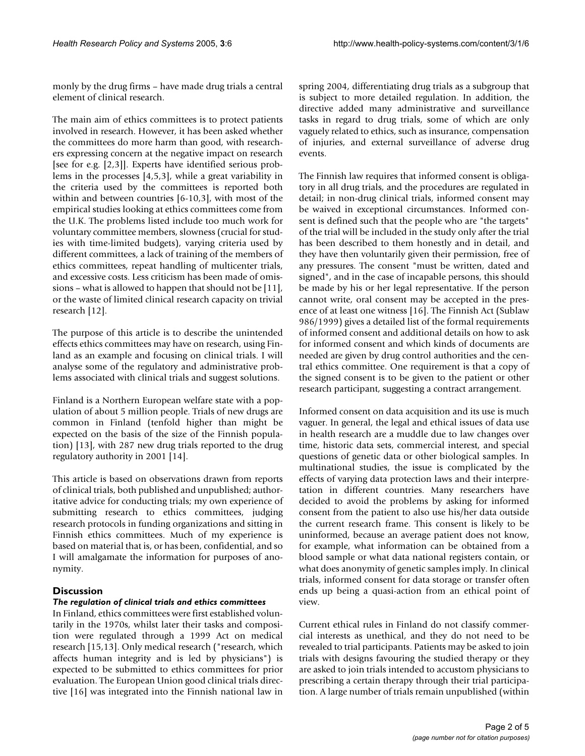monly by the drug firms – have made drug trials a central element of clinical research.

The main aim of ethics committees is to protect patients involved in research. However, it has been asked whether the committees do more harm than good, with researchers expressing concern at the negative impact on research [see for e.g. [2,3]]. Experts have identified serious problems in the processes [4,5,3], while a great variability in the criteria used by the committees is reported both within and between countries [6-10,3], with most of the empirical studies looking at ethics committees come from the U.K. The problems listed include too much work for voluntary committee members, slowness (crucial for studies with time-limited budgets), varying criteria used by different committees, a lack of training of the members of ethics committees, repeat handling of multicenter trials, and excessive costs. Less criticism has been made of omissions – what is allowed to happen that should not be [11], or the waste of limited clinical research capacity on trivial research [12].

The purpose of this article is to describe the unintended effects ethics committees may have on research, using Finland as an example and focusing on clinical trials. I will analyse some of the regulatory and administrative problems associated with clinical trials and suggest solutions.

Finland is a Northern European welfare state with a population of about 5 million people. Trials of new drugs are common in Finland (tenfold higher than might be expected on the basis of the size of the Finnish population) [13], with 287 new drug trials reported to the drug regulatory authority in 2001 [14].

This article is based on observations drawn from reports of clinical trials, both published and unpublished; authoritative advice for conducting trials; my own experience of submitting research to ethics committees, judging research protocols in funding organizations and sitting in Finnish ethics committees. Much of my experience is based on material that is, or has been, confidential, and so I will amalgamate the information for purposes of anonymity.

# **Discussion**

# *The regulation of clinical trials and ethics committees*

In Finland, ethics committees were first established voluntarily in the 1970s, whilst later their tasks and composition were regulated through a 1999 Act on medical research [15,13]. Only medical research ("research, which affects human integrity and is led by physicians") is expected to be submitted to ethics committees for prior evaluation. The European Union good clinical trials directive [16] was integrated into the Finnish national law in spring 2004, differentiating drug trials as a subgroup that is subject to more detailed regulation. In addition, the directive added many administrative and surveillance tasks in regard to drug trials, some of which are only vaguely related to ethics, such as insurance, compensation of injuries, and external surveillance of adverse drug events.

The Finnish law requires that informed consent is obligatory in all drug trials, and the procedures are regulated in detail; in non-drug clinical trials, informed consent may be waived in exceptional circumstances. Informed consent is defined such that the people who are "the targets" of the trial will be included in the study only after the trial has been described to them honestly and in detail, and they have then voluntarily given their permission, free of any pressures. The consent "must be written, dated and signed", and in the case of incapable persons, this should be made by his or her legal representative. If the person cannot write, oral consent may be accepted in the presence of at least one witness [16]. The Finnish Act (Sublaw 986/1999) gives a detailed list of the formal requirements of informed consent and additional details on how to ask for informed consent and which kinds of documents are needed are given by drug control authorities and the central ethics committee. One requirement is that a copy of the signed consent is to be given to the patient or other research participant, suggesting a contract arrangement.

Informed consent on data acquisition and its use is much vaguer. In general, the legal and ethical issues of data use in health research are a muddle due to law changes over time, historic data sets, commercial interest, and special questions of genetic data or other biological samples. In multinational studies, the issue is complicated by the effects of varying data protection laws and their interpretation in different countries. Many researchers have decided to avoid the problems by asking for informed consent from the patient to also use his/her data outside the current research frame. This consent is likely to be uninformed, because an average patient does not know, for example, what information can be obtained from a blood sample or what data national registers contain, or what does anonymity of genetic samples imply. In clinical trials, informed consent for data storage or transfer often ends up being a quasi-action from an ethical point of view.

Current ethical rules in Finland do not classify commercial interests as unethical, and they do not need to be revealed to trial participants. Patients may be asked to join trials with designs favouring the studied therapy or they are asked to join trials intended to accustom physicians to prescribing a certain therapy through their trial participation. A large number of trials remain unpublished (within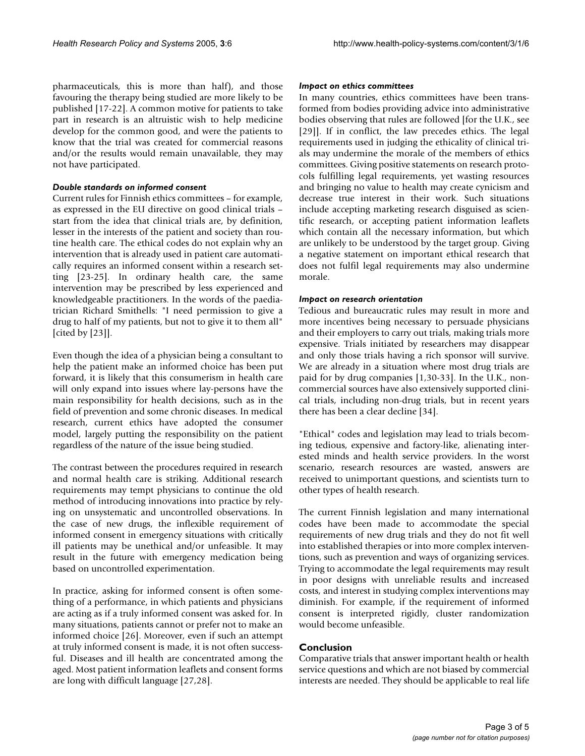pharmaceuticals, this is more than half), and those favouring the therapy being studied are more likely to be published [17-22]. A common motive for patients to take part in research is an altruistic wish to help medicine develop for the common good, and were the patients to know that the trial was created for commercial reasons and/or the results would remain unavailable, they may not have participated.

## *Double standards on informed consent*

Current rules for Finnish ethics committees – for example, as expressed in the EU directive on good clinical trials – start from the idea that clinical trials are, by definition, lesser in the interests of the patient and society than routine health care. The ethical codes do not explain why an intervention that is already used in patient care automatically requires an informed consent within a research setting [23-25]. In ordinary health care, the same intervention may be prescribed by less experienced and knowledgeable practitioners. In the words of the paediatrician Richard Smithells: "I need permission to give a drug to half of my patients, but not to give it to them all" [cited by [23]].

Even though the idea of a physician being a consultant to help the patient make an informed choice has been put forward, it is likely that this consumerism in health care will only expand into issues where lay-persons have the main responsibility for health decisions, such as in the field of prevention and some chronic diseases. In medical research, current ethics have adopted the consumer model, largely putting the responsibility on the patient regardless of the nature of the issue being studied.

The contrast between the procedures required in research and normal health care is striking. Additional research requirements may tempt physicians to continue the old method of introducing innovations into practice by relying on unsystematic and uncontrolled observations. In the case of new drugs, the inflexible requirement of informed consent in emergency situations with critically ill patients may be unethical and/or unfeasible. It may result in the future with emergency medication being based on uncontrolled experimentation.

In practice, asking for informed consent is often something of a performance, in which patients and physicians are acting as if a truly informed consent was asked for. In many situations, patients cannot or prefer not to make an informed choice [26]. Moreover, even if such an attempt at truly informed consent is made, it is not often successful. Diseases and ill health are concentrated among the aged. Most patient information leaflets and consent forms are long with difficult language [27,28].

#### *Impact on ethics committees*

In many countries, ethics committees have been transformed from bodies providing advice into administrative bodies observing that rules are followed [for the U.K., see [29]]. If in conflict, the law precedes ethics. The legal requirements used in judging the ethicality of clinical trials may undermine the morale of the members of ethics committees. Giving positive statements on research protocols fulfilling legal requirements, yet wasting resources and bringing no value to health may create cynicism and decrease true interest in their work. Such situations include accepting marketing research disguised as scientific research, or accepting patient information leaflets which contain all the necessary information, but which are unlikely to be understood by the target group. Giving a negative statement on important ethical research that does not fulfil legal requirements may also undermine morale.

### *Impact on research orientation*

Tedious and bureaucratic rules may result in more and more incentives being necessary to persuade physicians and their employers to carry out trials, making trials more expensive. Trials initiated by researchers may disappear and only those trials having a rich sponsor will survive. We are already in a situation where most drug trials are paid for by drug companies [1,30-33]. In the U.K., noncommercial sources have also extensively supported clinical trials, including non-drug trials, but in recent years there has been a clear decline [34].

"Ethical" codes and legislation may lead to trials becoming tedious, expensive and factory-like, alienating interested minds and health service providers. In the worst scenario, research resources are wasted, answers are received to unimportant questions, and scientists turn to other types of health research.

The current Finnish legislation and many international codes have been made to accommodate the special requirements of new drug trials and they do not fit well into established therapies or into more complex interventions, such as prevention and ways of organizing services. Trying to accommodate the legal requirements may result in poor designs with unreliable results and increased costs, and interest in studying complex interventions may diminish. For example, if the requirement of informed consent is interpreted rigidly, cluster randomization would become unfeasible.

# **Conclusion**

Comparative trials that answer important health or health service questions and which are not biased by commercial interests are needed. They should be applicable to real life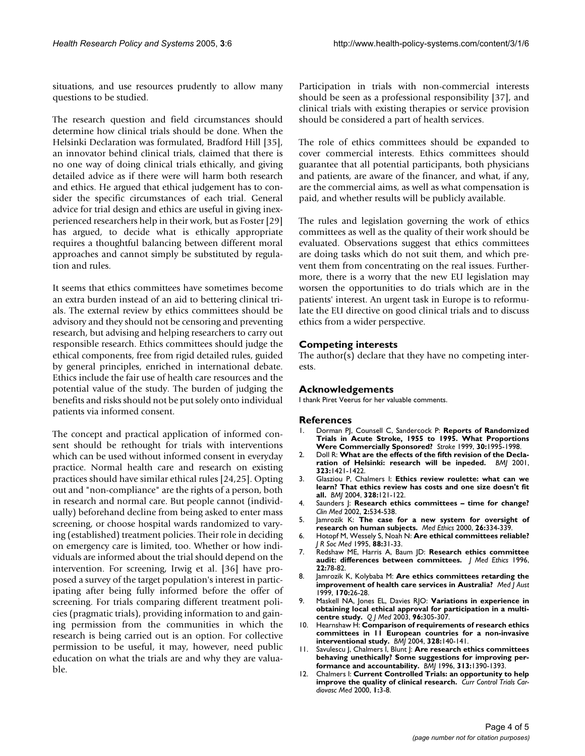situations, and use resources prudently to allow many questions to be studied.

The research question and field circumstances should determine how clinical trials should be done. When the Helsinki Declaration was formulated, Bradford Hill [35], an innovator behind clinical trials, claimed that there is no one way of doing clinical trials ethically, and giving detailed advice as if there were will harm both research and ethics. He argued that ethical judgement has to consider the specific circumstances of each trial. General advice for trial design and ethics are useful in giving inexperienced researchers help in their work, but as Foster [29] has argued, to decide what is ethically appropriate requires a thoughtful balancing between different moral approaches and cannot simply be substituted by regulation and rules.

It seems that ethics committees have sometimes become an extra burden instead of an aid to bettering clinical trials. The external review by ethics committees should be advisory and they should not be censoring and preventing research, but advising and helping researchers to carry out responsible research. Ethics committees should judge the ethical components, free from rigid detailed rules, guided by general principles, enriched in international debate. Ethics include the fair use of health care resources and the potential value of the study. The burden of judging the benefits and risks should not be put solely onto individual patients via informed consent.

The concept and practical application of informed consent should be rethought for trials with interventions which can be used without informed consent in everyday practice. Normal health care and research on existing practices should have similar ethical rules [24,25]. Opting out and "non-compliance" are the rights of a person, both in research and normal care. But people cannot (individually) beforehand decline from being asked to enter mass screening, or choose hospital wards randomized to varying (established) treatment policies. Their role in deciding on emergency care is limited, too. Whether or how individuals are informed about the trial should depend on the intervention. For screening, Irwig et al. [36] have proposed a survey of the target population's interest in participating after being fully informed before the offer of screening. For trials comparing different treatment policies (pragmatic trials), providing information to and gaining permission from the communities in which the research is being carried out is an option. For collective permission to be useful, it may, however, need public education on what the trials are and why they are valuable.

Participation in trials with non-commercial interests should be seen as a professional responsibility [37], and clinical trials with existing therapies or service provision should be considered a part of health services.

The role of ethics committees should be expanded to cover commercial interests. Ethics committees should guarantee that all potential participants, both physicians and patients, are aware of the financer, and what, if any, are the commercial aims, as well as what compensation is paid, and whether results will be publicly available.

The rules and legislation governing the work of ethics committees as well as the quality of their work should be evaluated. Observations suggest that ethics committees are doing tasks which do not suit them, and which prevent them from concentrating on the real issues. Furthermore, there is a worry that the new EU legislation may worsen the opportunities to do trials which are in the patients' interest. An urgent task in Europe is to reformulate the EU directive on good clinical trials and to discuss ethics from a wider perspective.

# **Competing interests**

The author(s) declare that they have no competing interests.

# **Acknowledgements**

I thank Piret Veerus for her valuable comments.

#### **References**

- 1. Dorman PJ, Counsell C, Sandercock P: **[Reports of Randomized](http://www.ncbi.nlm.nih.gov/entrez/query.fcgi?cmd=Retrieve&db=PubMed&dopt=Abstract&list_uids=10512897) [Trials in Acute Stroke, 1955 to 1995. What Proportions](http://www.ncbi.nlm.nih.gov/entrez/query.fcgi?cmd=Retrieve&db=PubMed&dopt=Abstract&list_uids=10512897) [Were Commercially Sponsored?](http://www.ncbi.nlm.nih.gov/entrez/query.fcgi?cmd=Retrieve&db=PubMed&dopt=Abstract&list_uids=10512897)** *Stroke* 1999, **30:**1995-1998.
- 2. Doll R: **What are the effects of the fifth revision of the Declaration of Helsinki: research will be inpeded.** *BMJ* 2001, **323:**1421-1422.
- 3. Glasziou P, Chalmers I: **[Ethics review roulette: what can we](http://www.ncbi.nlm.nih.gov/entrez/query.fcgi?cmd=Retrieve&db=PubMed&dopt=Abstract&list_uids=14726317) [learn? That ethics review has costs and one size doesn't fit](http://www.ncbi.nlm.nih.gov/entrez/query.fcgi?cmd=Retrieve&db=PubMed&dopt=Abstract&list_uids=14726317) [all.](http://www.ncbi.nlm.nih.gov/entrez/query.fcgi?cmd=Retrieve&db=PubMed&dopt=Abstract&list_uids=14726317)** *BMJ* 2004, **328:**121-122.
- 4. Saunders J: **[Research ethics committees time for change?](http://www.ncbi.nlm.nih.gov/entrez/query.fcgi?cmd=Retrieve&db=PubMed&dopt=Abstract&list_uids=12528967)** *Clin Med* 2002, **2:**534-538.
- 5. Jamrozik K: **The case for a new system for oversight of research on human subjects.** *Med Ethics* 2000, **26:**334-339.
- 6. Hotopf M, Wessely S, Noah N: **[Are ethical committees reliable?](http://www.ncbi.nlm.nih.gov/entrez/query.fcgi?cmd=Retrieve&db=PubMed&dopt=Abstract&list_uids=7884767)** *J R Soc Med* 1995, **88:**31-33.
- 7. Redshaw ME, Harris A, Baum JD: **[Research ethics committee](http://www.ncbi.nlm.nih.gov/entrez/query.fcgi?cmd=Retrieve&db=PubMed&dopt=Abstract&list_uids=8731532) [audit: differences between committees.](http://www.ncbi.nlm.nih.gov/entrez/query.fcgi?cmd=Retrieve&db=PubMed&dopt=Abstract&list_uids=8731532)** *J Med Ethics* 1996, **22:**78-82.
- 8. Jamrozik K, Kolybaba M: **[Are ethics committees retarding the](http://www.ncbi.nlm.nih.gov/entrez/query.fcgi?cmd=Retrieve&db=PubMed&dopt=Abstract&list_uids=10026670) [improvement of health care services in Australia?](http://www.ncbi.nlm.nih.gov/entrez/query.fcgi?cmd=Retrieve&db=PubMed&dopt=Abstract&list_uids=10026670)** *Med J Aust* 1999, **170:**26-28.
- 9. Maskell NA, Jones EL, Davies RJO: **Variations in experience in obtaining local ethical approval for participation in a multicentre study.** *Q J Med* 2003, **96:**305-307.
- 10. Hearnshaw H: **[Comparison of requirements of research ethics](http://www.ncbi.nlm.nih.gov/entrez/query.fcgi?cmd=Retrieve&db=PubMed&dopt=Abstract&list_uids=14726341) [committees in 11 European countries for a non-invasive](http://www.ncbi.nlm.nih.gov/entrez/query.fcgi?cmd=Retrieve&db=PubMed&dopt=Abstract&list_uids=14726341) [interventional study.](http://www.ncbi.nlm.nih.gov/entrez/query.fcgi?cmd=Retrieve&db=PubMed&dopt=Abstract&list_uids=14726341)** *BMJ* 2004, **328:**140-141.
- 11. Savulescu J, Chalmers I, Blunt J: **[Are research ethics committees](http://www.ncbi.nlm.nih.gov/entrez/query.fcgi?cmd=Retrieve&db=PubMed&dopt=Abstract&list_uids=8956711) [behaving unethically? Some suggestions for improving per](http://www.ncbi.nlm.nih.gov/entrez/query.fcgi?cmd=Retrieve&db=PubMed&dopt=Abstract&list_uids=8956711)[formance and accountability.](http://www.ncbi.nlm.nih.gov/entrez/query.fcgi?cmd=Retrieve&db=PubMed&dopt=Abstract&list_uids=8956711)** *BMJ* 1996, **313:**1390-1393.
- 12. Chalmers I: **[Current Controlled Trials: an opportunity to help](http://www.ncbi.nlm.nih.gov/entrez/query.fcgi?cmd=Retrieve&db=PubMed&dopt=Abstract&list_uids=11714397) [improve the quality of clinical research.](http://www.ncbi.nlm.nih.gov/entrez/query.fcgi?cmd=Retrieve&db=PubMed&dopt=Abstract&list_uids=11714397)** *Curr Control Trials Cardiovasc Med* 2000, **1:**3-8.